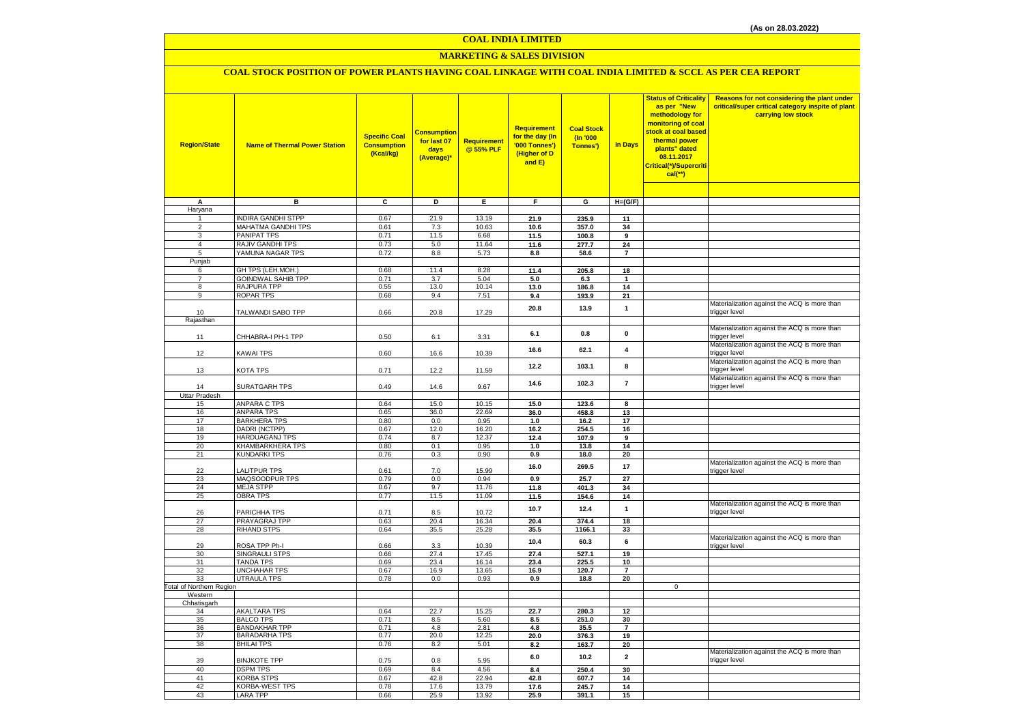#### **COAL INDIA LIMITED**

### **MARKETING & SALES DIVISION**

### **COAL STOCK POSITION OF POWER PLANTS HAVING COAL LINKAGE WITH COAL INDIA LIMITED & SCCL AS PER CEA REPORT**

| <b>Region/State</b>             | <b>Name of Thermal Power Station</b>       | <b>Specific Coal</b><br><b>Consumption</b><br>(Kcal/kg) | <b>Consumption</b><br>for last 07<br>days<br>(Average)* | Requirement<br>@ 55% PLF | Requirement<br>for the day (In<br>'000 Tonnes')<br>(Higher of D<br>and E) | <b>Coal Stock</b><br>(In '000<br>Tonnes') | <b>In Days</b>           | <b>Status of Criticality</b><br>as per "New<br>methodology for<br>monitoring of coal<br>stock at coal based<br>thermal power<br>plants" dated<br>08.11.2017<br>Critical(*)/Supercriti<br>$cal$ (**) | Reasons for not considering the plant under<br>critical/super critical category inspite of plant<br>carrying low stock |
|---------------------------------|--------------------------------------------|---------------------------------------------------------|---------------------------------------------------------|--------------------------|---------------------------------------------------------------------------|-------------------------------------------|--------------------------|-----------------------------------------------------------------------------------------------------------------------------------------------------------------------------------------------------|------------------------------------------------------------------------------------------------------------------------|
|                                 |                                            |                                                         |                                                         |                          |                                                                           |                                           |                          |                                                                                                                                                                                                     |                                                                                                                        |
| Α                               | в                                          | $\overline{c}$                                          | Þ                                                       | Ε                        | F                                                                         | G                                         | $H=(G/F)$                |                                                                                                                                                                                                     |                                                                                                                        |
| Haryana<br>$\mathbf{1}$         | <b>INDIRA GANDHI STPP</b>                  | 0.67                                                    | 21.9                                                    | 13.19                    | 21.9                                                                      | 235.9                                     | 11                       |                                                                                                                                                                                                     |                                                                                                                        |
| $\overline{2}$                  | MAHATMA GANDHI TPS                         | 0.61                                                    | 7.3                                                     | 10.63                    | 10.6                                                                      | 357.0                                     | 34                       |                                                                                                                                                                                                     |                                                                                                                        |
| 3                               | <b>PANIPAT TPS</b>                         | 0.71                                                    | 11.5                                                    | 6.68                     | 11.5                                                                      | 100.8                                     | 9                        |                                                                                                                                                                                                     |                                                                                                                        |
| $\overline{4}$                  | RAJIV GANDHI TPS                           | 0.73                                                    | 5.0                                                     | 11.64                    | 11.6                                                                      | 277.7                                     | 24                       |                                                                                                                                                                                                     |                                                                                                                        |
| 5                               | YAMUNA NAGAR TPS                           | 0.72                                                    | 8.8                                                     | 5.73                     | 8.8                                                                       | 58.6                                      | $\overline{7}$           |                                                                                                                                                                                                     |                                                                                                                        |
| Punjab                          |                                            |                                                         |                                                         |                          |                                                                           |                                           |                          |                                                                                                                                                                                                     |                                                                                                                        |
| 6                               | GH TPS (LEH.MOH.)                          | 0.68                                                    | 11.4                                                    | 8.28                     | 11.4                                                                      | 205.8                                     | 18                       |                                                                                                                                                                                                     |                                                                                                                        |
| $\overline{7}$                  | <b>GOINDWAL SAHIB TPP</b>                  | 0.71                                                    | 3.7                                                     | 5.04                     | 5.0                                                                       | 6.3                                       | $\mathbf{1}$             |                                                                                                                                                                                                     |                                                                                                                        |
| 8<br>9                          | <b>RAJPURA TPP</b><br>ROPAR TPS            | 0.55<br>0.68                                            | 13.0<br>9.4                                             | 10.14<br>7.51            | 13.0<br>9.4                                                               | 186.8<br>193.9                            | 14<br>21                 |                                                                                                                                                                                                     |                                                                                                                        |
|                                 |                                            |                                                         |                                                         |                          |                                                                           |                                           |                          |                                                                                                                                                                                                     | Materialization against the ACQ is more than                                                                           |
| 10                              | TALWANDI SABO TPP                          | 0.66                                                    | 20.8                                                    | 17.29                    | 20.8                                                                      | 13.9                                      | $\mathbf{1}$             |                                                                                                                                                                                                     | trigger level                                                                                                          |
| Rajasthan                       |                                            |                                                         |                                                         |                          |                                                                           |                                           |                          |                                                                                                                                                                                                     |                                                                                                                        |
| 11                              | CHHABRA-I PH-1 TPP                         | 0.50                                                    | 6.1                                                     | 3.31                     | 6.1                                                                       | 0.8                                       | $\pmb{0}$                |                                                                                                                                                                                                     | Materialization against the ACQ is more than<br>trigger level                                                          |
| 12                              | <b>KAWAI TPS</b>                           | 0.60                                                    | 16.6                                                    | 10.39                    | 16.6                                                                      | 62.1                                      | 4                        |                                                                                                                                                                                                     | Materialization against the ACQ is more than<br>trigger level                                                          |
| 13                              | <b>KOTA TPS</b>                            | 0.71                                                    | 12.2                                                    | 11.59                    | 12.2                                                                      | 103.1                                     | 8                        |                                                                                                                                                                                                     | Materialization against the ACQ is more than<br>trigger level<br>Materialization against the ACQ is more than          |
| 14                              | SURATGARH TPS                              | 0.49                                                    | 14.6                                                    | 9.67                     | 14.6                                                                      | 102.3                                     | $\overline{\phantom{a}}$ |                                                                                                                                                                                                     | trigger level                                                                                                          |
| <b>Uttar Pradesh</b><br>15      | <b>ANPARA C TPS</b>                        | 0.64                                                    | 15.0                                                    | 10.15                    | 15.0                                                                      | 123.6                                     | 8                        |                                                                                                                                                                                                     |                                                                                                                        |
| 16                              | <b>ANPARA TPS</b>                          | 0.65                                                    | 36.0                                                    | 22.69                    | 36.0                                                                      | 458.8                                     | 13                       |                                                                                                                                                                                                     |                                                                                                                        |
| 17                              | <b>BARKHERA TPS</b>                        | 0.80                                                    | 0.0                                                     | 0.95                     | 1.0                                                                       | 16.2                                      | 17                       |                                                                                                                                                                                                     |                                                                                                                        |
| 18                              | DADRI (NCTPP)                              | 0.67                                                    | 12.0                                                    | 16.20                    | 16.2                                                                      | 254.5                                     | 16                       |                                                                                                                                                                                                     |                                                                                                                        |
| 19                              | <b>HARDUAGANJ TPS</b>                      | 0.74                                                    | 8.7                                                     | 12.37                    | 12.4                                                                      | 107.9                                     | 9                        |                                                                                                                                                                                                     |                                                                                                                        |
| 20                              | KHAMBARKHERA TPS                           | 0.80                                                    | 0.1                                                     | 0.95                     | 1.0                                                                       | 13.8                                      | 14                       |                                                                                                                                                                                                     |                                                                                                                        |
| 21                              | <b>KUNDARKI TPS</b>                        | 0.76                                                    | 0.3                                                     | 0.90                     | 0.9                                                                       | 18.0                                      | 20                       |                                                                                                                                                                                                     |                                                                                                                        |
| 22                              | <b>ALITPUR TPS</b>                         | 0.61                                                    | 7.0                                                     | 15.99                    | 16.0                                                                      | 269.5                                     | 17                       |                                                                                                                                                                                                     | Materialization against the ACQ is more than<br>trigger level                                                          |
| 23                              | MAQSOODPUR TPS                             | 0.79                                                    | 0.0                                                     | 0.94                     | 0.9                                                                       | 25.7                                      | 27                       |                                                                                                                                                                                                     |                                                                                                                        |
| 24                              | <b>MEJA STPP</b>                           | 0.67                                                    | 9.7                                                     | 11.76                    | 11.8                                                                      | 401.3                                     | 34                       |                                                                                                                                                                                                     |                                                                                                                        |
| 25                              | <b>OBRA TPS</b>                            | 0.77                                                    | 11.5                                                    | 11.09                    | 11.5                                                                      | 154.6                                     | 14                       |                                                                                                                                                                                                     |                                                                                                                        |
| 26                              | PARICHHA TPS                               | 0.71                                                    | 8.5                                                     | 10.72                    | 10.7                                                                      | 12.4                                      | $\mathbf{1}$             |                                                                                                                                                                                                     | Materialization against the ACQ is more than<br>trigger level                                                          |
| 27                              | PRAYAGRAJ TPP                              | 0.63                                                    | 20.4                                                    | 16.34                    | 20.4                                                                      | 374.4                                     | 18                       |                                                                                                                                                                                                     |                                                                                                                        |
| 28                              | <b>RIHAND STPS</b>                         | 0.64                                                    | 35.5                                                    | 25.28                    | 35.5                                                                      | 1166.1                                    | 33                       |                                                                                                                                                                                                     |                                                                                                                        |
| 29                              | ROSA TPP Ph-I                              | 0.66                                                    | 3.3                                                     | 10.39                    | 10.4                                                                      | 60.3                                      | 6                        |                                                                                                                                                                                                     | Materialization against the ACQ is more than<br>trigger level                                                          |
| 30                              | SINGRAULI STPS                             | 0.66                                                    | 27.4                                                    | 17.45                    | 27.4                                                                      | 527.1                                     | 19                       |                                                                                                                                                                                                     |                                                                                                                        |
| 31                              | <b>TANDA TPS</b><br><b>UNCHAHAR TPS</b>    | 0.69                                                    | 23.4                                                    | 16.14                    | 23.4                                                                      | 225.5                                     | 10                       |                                                                                                                                                                                                     |                                                                                                                        |
| 32<br>33                        | <b>UTRAULA TPS</b>                         | 0.67<br>0.78                                            | 16.9<br>0.0                                             | 13.65<br>0.93            | 16.9<br>0.9                                                               | 120.7<br>18.8                             | 7<br>20                  |                                                                                                                                                                                                     |                                                                                                                        |
| <b>Total of Northern Region</b> |                                            |                                                         |                                                         |                          |                                                                           |                                           |                          | $\mathbf 0$                                                                                                                                                                                         |                                                                                                                        |
| Western                         |                                            |                                                         |                                                         |                          |                                                                           |                                           |                          |                                                                                                                                                                                                     |                                                                                                                        |
| Chhatisgarh                     |                                            |                                                         |                                                         |                          |                                                                           |                                           |                          |                                                                                                                                                                                                     |                                                                                                                        |
| 34                              | <b>AKALTARA TPS</b><br><b>BALCO TPS</b>    | 0.64                                                    | 22.7                                                    | 15.25                    | 22.7                                                                      | 280.3                                     | 12                       |                                                                                                                                                                                                     |                                                                                                                        |
| 35<br>36                        | <b>BANDAKHAR TPP</b>                       | 0.71<br>0.71                                            | 8.5<br>4.8                                              | 5.60<br>2.81             | 8.5<br>4.8                                                                | 251.0<br>35.5                             | 30<br>7                  |                                                                                                                                                                                                     |                                                                                                                        |
| 37                              | <b>BARADARHA TPS</b>                       | 0.77                                                    | 20.0                                                    | 12.25                    | 20.0                                                                      | 376.3                                     | 19                       |                                                                                                                                                                                                     |                                                                                                                        |
| 38                              | <b>BHILAI TPS</b>                          | 0.76                                                    | 8.2                                                     | 5.01                     | 8.2                                                                       | 163.7                                     | 20                       |                                                                                                                                                                                                     |                                                                                                                        |
|                                 |                                            |                                                         |                                                         |                          | 6.0                                                                       | 10.2                                      | $\overline{2}$           |                                                                                                                                                                                                     | Materialization against the ACQ is more than                                                                           |
| 39                              | <b>BINJKOTE TPP</b>                        | 0.75                                                    | 0.8                                                     | 5.95                     |                                                                           |                                           |                          |                                                                                                                                                                                                     | trigger level                                                                                                          |
| 40                              | <b>DSPM TPS</b>                            | 0.69                                                    | 8.4                                                     | 4.56                     | 8.4                                                                       | 250.4                                     | 30                       |                                                                                                                                                                                                     |                                                                                                                        |
| 41<br>42                        | <b>KORBA STPS</b><br><b>KORBA-WEST TPS</b> | 0.67<br>0.78                                            | 42.8<br>17.6                                            | 22.94<br>13.79           | 42.8<br>17.6                                                              | 607.7                                     | 14<br>14                 |                                                                                                                                                                                                     |                                                                                                                        |
| 43                              | <b>LARA TPP</b>                            | 0.66                                                    | 25.9                                                    | 13.92                    | 25.9                                                                      | 245.7<br>391.1                            | 15                       |                                                                                                                                                                                                     |                                                                                                                        |
|                                 |                                            |                                                         |                                                         |                          |                                                                           |                                           |                          |                                                                                                                                                                                                     |                                                                                                                        |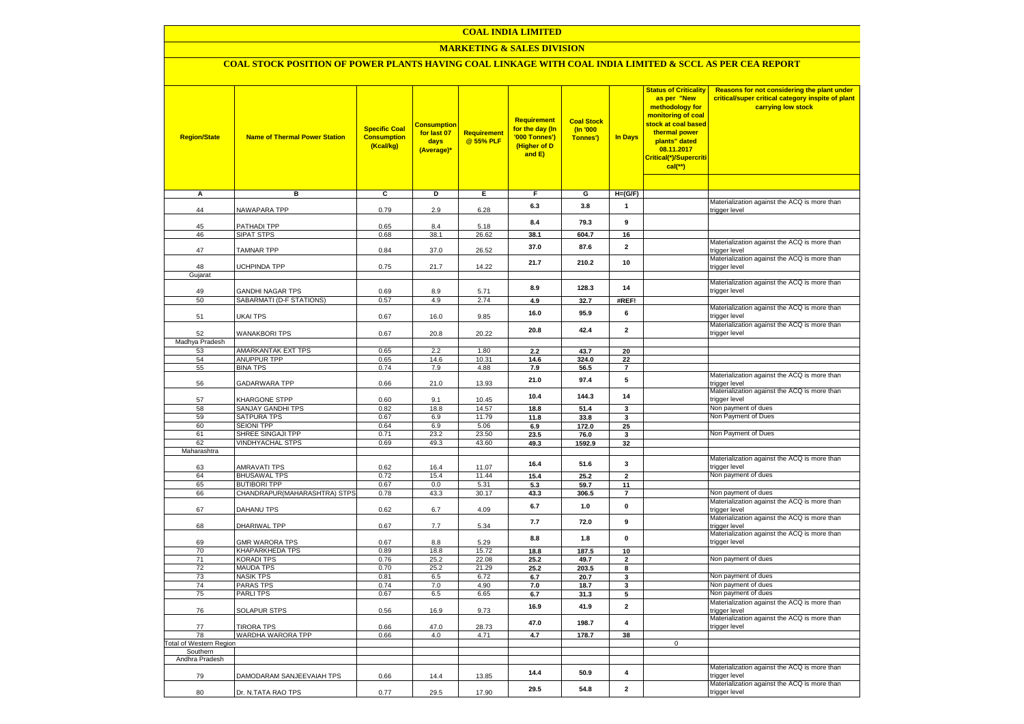#### **COAL INDIA LIMITED**

### **MARKETING & SALES DIVISION**

## **COAL STOCK POSITION OF POWER PLANTS HAVING COAL LINKAGE WITH COAL INDIA LIMITED & SCCL AS PER CEA REPORT**

| <b>Region/State</b>            | <b>Name of Thermal Power Station</b>   | <b>Specific Coal</b><br><b>Consumption</b><br>(Kcal/kg) | <b>Consumption</b><br>for last 07<br>days<br>(Average)* | <b>Requirement</b><br>@ 55% PLF | Requirement<br>for the day (In<br>'000 Tonnes')<br>(Higher of D<br>and E) | <b>Coal Stock</b><br>$($ ln '000<br>Tonnes') | <b>In Days</b>          | <b>Status of Criticality</b><br>as per "New<br>methodology for<br>monitoring of coal<br>stock at coal based<br>thermal power<br>plants" dated<br>08.11.2017<br>Critical(*)/Supercriti<br>$cal$ (**) | Reasons for not considering the plant under<br>critical/super critical category inspite of plant<br>carrying low stock |
|--------------------------------|----------------------------------------|---------------------------------------------------------|---------------------------------------------------------|---------------------------------|---------------------------------------------------------------------------|----------------------------------------------|-------------------------|-----------------------------------------------------------------------------------------------------------------------------------------------------------------------------------------------------|------------------------------------------------------------------------------------------------------------------------|
|                                |                                        |                                                         |                                                         |                                 |                                                                           |                                              |                         |                                                                                                                                                                                                     |                                                                                                                        |
| Α                              | в                                      | c                                                       | Þ                                                       | Ε                               | F                                                                         | G                                            | $H=(G/F)$               |                                                                                                                                                                                                     | Materialization against the ACQ is more than                                                                           |
| 44                             | NAWAPARA TPP                           | 0.79                                                    | 2.9                                                     | 6.28                            | 6.3                                                                       | 3.8                                          | 1                       |                                                                                                                                                                                                     | trigger level                                                                                                          |
| 45                             | PATHADI TPP                            | 0.65                                                    | 8.4                                                     | 5.18                            | 8.4                                                                       | 79.3                                         | 9                       |                                                                                                                                                                                                     |                                                                                                                        |
| 46                             | SIPAT STPS                             | 0.68                                                    | 38.1                                                    | 26.62                           | 38.1                                                                      | 604.7                                        | 16                      |                                                                                                                                                                                                     |                                                                                                                        |
| 47                             | <b>TAMNAR TPP</b>                      | 0.84                                                    | 37.0                                                    | 26.52                           | 37.0                                                                      | 87.6                                         | $\overline{\mathbf{2}}$ |                                                                                                                                                                                                     | Materialization against the ACQ is more than<br>trigger level                                                          |
|                                |                                        |                                                         |                                                         |                                 | 21.7                                                                      | 210.2                                        | 10                      |                                                                                                                                                                                                     | Materialization against the ACQ is more than                                                                           |
| 48<br>Gujarat                  | <b>UCHPINDA TPP</b>                    | 0.75                                                    | 21.7                                                    | 14.22                           |                                                                           |                                              |                         |                                                                                                                                                                                                     | trigger level                                                                                                          |
|                                |                                        |                                                         |                                                         |                                 |                                                                           |                                              |                         |                                                                                                                                                                                                     | Materialization against the ACQ is more than                                                                           |
| 49                             | <b>GANDHI NAGAR TPS</b>                | 0.69                                                    | 8.9                                                     | 5.71                            | 8.9                                                                       | 128.3                                        | 14                      |                                                                                                                                                                                                     | trigger level                                                                                                          |
| 50                             | SABARMATI (D-F STATIONS)               | 0.57                                                    | 4.9                                                     | 2.74                            | 4.9                                                                       | 32.7                                         | #REF!                   |                                                                                                                                                                                                     |                                                                                                                        |
| 51                             | UKAI TPS                               | 0.67                                                    | 16.0                                                    | 9.85                            | 16.0                                                                      | 95.9                                         | 6                       |                                                                                                                                                                                                     | Materialization against the ACQ is more than<br>trigger level                                                          |
| 52                             | WANAKBORI TPS                          | 0.67                                                    | 20.8                                                    | 20.22                           | 20.8                                                                      | 42.4                                         | $\mathbf{2}$            |                                                                                                                                                                                                     | Materialization against the ACQ is more than<br>trigger level                                                          |
| Madhya Pradesh                 |                                        |                                                         |                                                         |                                 |                                                                           |                                              |                         |                                                                                                                                                                                                     |                                                                                                                        |
| 53                             | AMARKANTAK EXT TPS                     | 0.65                                                    | 2.2                                                     | 1.80                            | 2.2                                                                       | 43.7                                         | 20                      |                                                                                                                                                                                                     |                                                                                                                        |
| 54                             | <b>ANUPPUR TPP</b>                     | 0.65                                                    | 14.6                                                    | 10.31                           | 14.6                                                                      | 324.0                                        | 22                      |                                                                                                                                                                                                     |                                                                                                                        |
| 55                             | <b>BINA TPS</b>                        | 0.74                                                    | 7.9                                                     | 4.88                            | 7.9                                                                       | 56.5                                         | $\overline{7}$          |                                                                                                                                                                                                     | Materialization against the ACQ is more than                                                                           |
| 56                             | GADARWARA TPP                          | 0.66                                                    | 21.0                                                    | 13.93                           | 21.0                                                                      | 97.4                                         | ${\bf 5}$               |                                                                                                                                                                                                     | trigger level                                                                                                          |
| 57                             | KHARGONE STPP                          | 0.60                                                    | 9.1                                                     | 10.45                           | 10.4                                                                      | 144.3                                        | 14                      |                                                                                                                                                                                                     | Materialization against the ACQ is more than<br>trigger level                                                          |
| 58                             | SANJAY GANDHI TPS                      | 0.82                                                    | 18.8                                                    | 14.57                           | 18.8                                                                      | 51.4                                         | 3                       |                                                                                                                                                                                                     | Non payment of dues                                                                                                    |
| 59                             | <b>SATPURA TPS</b>                     | 0.67                                                    | 6.9                                                     | 11.79                           | 11.8                                                                      | 33.8                                         | 3                       |                                                                                                                                                                                                     | Non Payment of Dues                                                                                                    |
| 60                             | <b>SEIONI TPP</b>                      | 0.64                                                    | 6.9                                                     | 5.06                            | 6.9                                                                       | 172.0                                        | 25                      |                                                                                                                                                                                                     |                                                                                                                        |
| 61                             | SHREE SINGAJI TPP                      | 0.71                                                    | 23.2                                                    | 23.50                           | 23.5                                                                      | 76.0                                         | 3                       |                                                                                                                                                                                                     | Non Payment of Dues                                                                                                    |
| 62<br>Maharashtra              | <b>VINDHYACHAL STPS</b>                | 0.69                                                    | 49.3                                                    | 43.60                           | 49.3                                                                      | 1592.9                                       | 32                      |                                                                                                                                                                                                     |                                                                                                                        |
| 63                             | <b>AMRAVATI TPS</b>                    | 0.62                                                    | 16.4                                                    | 11.07                           | 16.4                                                                      | 51.6                                         | 3                       |                                                                                                                                                                                                     | Materialization against the ACQ is more than<br>trigger level                                                          |
| 64                             | <b>BHUSAWAL TPS</b>                    | 0.72                                                    | 15.4                                                    | 11.44                           | 15.4                                                                      | 25.2                                         | $\overline{2}$          |                                                                                                                                                                                                     | Non payment of dues                                                                                                    |
| 65                             | <b>BUTIBORI TPP</b>                    | 0.67                                                    | 0.0                                                     | 5.31                            | 5.3                                                                       | 59.7                                         | 11                      |                                                                                                                                                                                                     |                                                                                                                        |
| 66                             | CHANDRAPUR(MAHARASHTRA) STPS           | 0.78                                                    | 43.3                                                    | 30.17                           | 43.3                                                                      | 306.5                                        | $\overline{7}$          |                                                                                                                                                                                                     | Non payment of dues                                                                                                    |
| 67                             | DAHANU TPS                             | 0.62                                                    | 6.7                                                     | 4.09                            | 6.7                                                                       | $1.0$                                        | 0                       |                                                                                                                                                                                                     | Materialization against the ACQ is more than<br>trigger level                                                          |
|                                |                                        |                                                         |                                                         |                                 | 7.7                                                                       | 72.0                                         | 9                       |                                                                                                                                                                                                     | Materialization against the ACQ is more than                                                                           |
| 68                             | DHARIWAL TPP                           | 0.67                                                    | 7.7                                                     | 5.34                            | 8.8                                                                       | 1.8                                          | 0                       |                                                                                                                                                                                                     | trigger level<br>Materialization against the ACQ is more than                                                          |
| 69                             | <b>GMR WARORA TPS</b>                  | 0.67                                                    | 8.8                                                     | 5.29                            |                                                                           |                                              |                         |                                                                                                                                                                                                     | trigger level                                                                                                          |
| 70                             | KHAPARKHEDA TPS                        | 0.89                                                    | 18.8                                                    | 15.72                           | 18.8                                                                      | 187.5                                        | 10                      |                                                                                                                                                                                                     | Non payment of dues                                                                                                    |
| 71<br>72                       | <b>KORADI TPS</b><br>MAUDA TPS         | 0.76<br>0.70                                            | 25.2<br>25.2                                            | 22.08<br>21.29                  | 25.2<br>25.2                                                              | 49.7<br>203.5                                | $\mathbf{2}$<br>8       |                                                                                                                                                                                                     |                                                                                                                        |
| 73                             | <b>NASIK TPS</b>                       | 0.81                                                    | 6.5                                                     | 6.72                            | 6.7                                                                       | 20.7                                         | 3                       |                                                                                                                                                                                                     | Non payment of dues                                                                                                    |
| 74                             | <b>PARAS TPS</b>                       | 0.74                                                    | 7.0                                                     | 4.90                            | 7.0                                                                       | 18.7                                         | 3                       |                                                                                                                                                                                                     | Non payment of dues                                                                                                    |
| 75                             | <b>PARLITPS</b>                        | 0.67                                                    | 6.5                                                     | 6.65                            | 6.7                                                                       | 31.3                                         | 5                       |                                                                                                                                                                                                     | Non payment of dues                                                                                                    |
| 76                             | <b>SOLAPUR STPS</b>                    | 0.56                                                    | 16.9                                                    | 9.73                            | 16.9                                                                      | 41.9                                         | $\mathbf{2}$            |                                                                                                                                                                                                     | Materialization against the ACQ is more than<br>trigger level                                                          |
|                                |                                        |                                                         |                                                         |                                 | 47.0                                                                      | 198.7                                        | $\overline{\mathbf{4}}$ |                                                                                                                                                                                                     | Materialization against the ACQ is more than                                                                           |
| 77<br>78                       | <b>TIRORA TPS</b><br>WARDHA WARORA TPP | 0.66<br>0.66                                            | 47.0<br>4.0                                             | 28.73<br>4.71                   | 4.7                                                                       | 178.7                                        | 38                      |                                                                                                                                                                                                     | trigger level                                                                                                          |
| <b>Total of Western Region</b> |                                        |                                                         |                                                         |                                 |                                                                           |                                              |                         | $\mathbf 0$                                                                                                                                                                                         |                                                                                                                        |
| Southern                       |                                        |                                                         |                                                         |                                 |                                                                           |                                              |                         |                                                                                                                                                                                                     |                                                                                                                        |
| Andhra Pradesh                 |                                        |                                                         |                                                         |                                 |                                                                           |                                              |                         |                                                                                                                                                                                                     |                                                                                                                        |
| 79                             | DAMODARAM SANJEEVAIAH TPS              | 0.66                                                    | 14.4                                                    | 13.85                           | 14.4                                                                      | 50.9                                         | 4                       |                                                                                                                                                                                                     | Materialization against the ACQ is more than<br>trigger level                                                          |
| 80                             | Dr. N.TATA RAO TPS                     | 0.77                                                    | 29.5                                                    | 17.90                           | 29.5                                                                      | 54.8                                         | $\mathbf{2}$            |                                                                                                                                                                                                     | Materialization against the ACQ is more than<br>trigger level                                                          |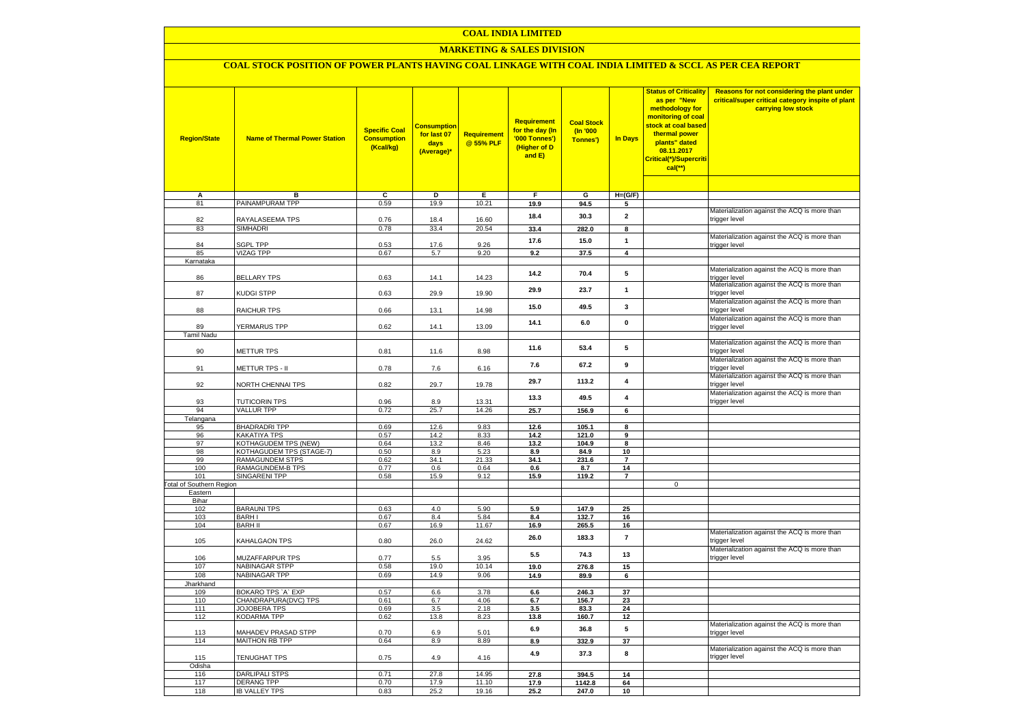### **COAL INDIA LIMITED**

### **MARKETING & SALES DIVISION**

# **COAL STOCK POSITION OF POWER PLANTS HAVING COAL LINKAGE WITH COAL INDIA LIMITED & SCCL AS PER CEA REPORT**

| <b>Region/State</b>             | <b>Name of Thermal Power Station</b>      | <b>Specific Coal</b><br><b>Consumption</b><br>(Kcal/kg) | <mark>Consumption</mark><br>for last 07<br>days<br>(Average)* | <b>Requirement</b><br>@ 55% PLF | <b>Requirement</b><br>for the day (In<br>'000 Tonnes')<br>(Higher of D<br>and E) | <b>Coal Stock</b><br>(In '000<br>Tonnes') | <b>In Days</b>                | <b>Status of Criticality</b><br>as per "New<br>methodology for<br>monitoring of coal<br>stock at coal based<br>thermal power<br>plants" dated<br>08.11.2017<br>Critical(*)/Supercriti<br>$cal$ (**) | Reasons for not considering the plant under<br>critical/super critical category inspite of plant<br>carrying low stock |
|---------------------------------|-------------------------------------------|---------------------------------------------------------|---------------------------------------------------------------|---------------------------------|----------------------------------------------------------------------------------|-------------------------------------------|-------------------------------|-----------------------------------------------------------------------------------------------------------------------------------------------------------------------------------------------------|------------------------------------------------------------------------------------------------------------------------|
|                                 |                                           |                                                         |                                                               |                                 |                                                                                  |                                           |                               |                                                                                                                                                                                                     |                                                                                                                        |
| А<br>81                         | в<br>PAINAMPURAM TPP                      | c<br>0.59                                               | D<br>19.9                                                     | Е<br>10.21                      | F<br>19.9                                                                        | G<br>94.5                                 | $H=(G/F)$<br>5                |                                                                                                                                                                                                     |                                                                                                                        |
|                                 |                                           |                                                         |                                                               |                                 |                                                                                  |                                           |                               |                                                                                                                                                                                                     | Materialization against the ACQ is more than                                                                           |
| 82                              | RAYALASEEMA TPS                           | 0.76                                                    | 18.4                                                          | 16.60                           | 18.4                                                                             | 30.3                                      | $\overline{\mathbf{2}}$       |                                                                                                                                                                                                     | trigger level                                                                                                          |
| 83                              | <b>SIMHADRI</b>                           | 0.78                                                    | 33.4                                                          | 20.54                           | 33.4                                                                             | 282.0                                     | 8                             |                                                                                                                                                                                                     |                                                                                                                        |
| 84                              | <b>SGPL TPP</b>                           | 0.53                                                    | 17.6                                                          | 9.26                            | 17.6                                                                             | 15.0                                      | $\mathbf{1}$                  |                                                                                                                                                                                                     | Materialization against the ACQ is more than<br>trigger level                                                          |
| 85                              | <b>VIZAG TPP</b>                          | 0.67                                                    | 5.7                                                           | 9.20                            | 9.2                                                                              | 37.5                                      | $\overline{4}$                |                                                                                                                                                                                                     |                                                                                                                        |
| Karnataka                       |                                           |                                                         |                                                               |                                 |                                                                                  |                                           |                               |                                                                                                                                                                                                     |                                                                                                                        |
|                                 |                                           |                                                         |                                                               |                                 | 14.2                                                                             | 70.4                                      | 5                             |                                                                                                                                                                                                     | Materialization against the ACQ is more than                                                                           |
| 86                              | <b>BELLARY TPS</b>                        | 0.63                                                    | 14.1                                                          | 14.23                           |                                                                                  |                                           |                               |                                                                                                                                                                                                     | trigger level                                                                                                          |
| 87                              | <b>KUDGI STPP</b>                         | 0.63                                                    | 29.9                                                          | 19.90                           | 29.9                                                                             | 23.7                                      | $\mathbf{1}$                  |                                                                                                                                                                                                     | Materialization against the ACQ is more than<br>trigger level                                                          |
|                                 |                                           |                                                         |                                                               |                                 |                                                                                  |                                           |                               |                                                                                                                                                                                                     | Materialization against the ACQ is more than                                                                           |
| 88                              | RAICHUR TPS                               | 0.66                                                    | 13.1                                                          | 14.98                           | 15.0                                                                             | 49.5                                      | 3                             |                                                                                                                                                                                                     | trigger level                                                                                                          |
|                                 |                                           |                                                         |                                                               |                                 | 14.1                                                                             | 6.0                                       | $\mathbf{0}$                  |                                                                                                                                                                                                     | Materialization against the ACQ is more than                                                                           |
| 89                              | YERMARUS TPP                              | 0.62                                                    | 14.1                                                          | 13.09                           |                                                                                  |                                           |                               |                                                                                                                                                                                                     | trigger level                                                                                                          |
| Tamil Nadu                      |                                           |                                                         |                                                               |                                 |                                                                                  |                                           |                               |                                                                                                                                                                                                     |                                                                                                                        |
| 90                              | METTUR TPS                                | 0.81                                                    | 11.6                                                          | 8.98                            | 11.6                                                                             | 53.4                                      | 5                             |                                                                                                                                                                                                     | Materialization against the ACQ is more than<br>trigger level                                                          |
|                                 |                                           |                                                         |                                                               |                                 |                                                                                  |                                           |                               |                                                                                                                                                                                                     | Materialization against the ACQ is more than                                                                           |
| 91                              | METTUR TPS - II                           | 0.78                                                    | 7.6                                                           | 6.16                            | 7.6                                                                              | 67.2                                      | 9                             |                                                                                                                                                                                                     | trigger level                                                                                                          |
|                                 |                                           |                                                         |                                                               |                                 |                                                                                  |                                           |                               |                                                                                                                                                                                                     | Materialization against the ACQ is more than                                                                           |
| 92                              | NORTH CHENNAI TPS                         | 0.82                                                    | 29.7                                                          | 19.78                           | 29.7                                                                             | 113.2                                     | 4                             |                                                                                                                                                                                                     | trigger level                                                                                                          |
|                                 |                                           |                                                         |                                                               |                                 | 13.3                                                                             | 49.5                                      | 4                             |                                                                                                                                                                                                     | Materialization against the ACQ is more than                                                                           |
| 93<br>94                        | <b>TUTICORIN TPS</b><br><b>VALLUR TPP</b> | 0.96                                                    | 8.9                                                           | 13.31                           |                                                                                  |                                           |                               |                                                                                                                                                                                                     | trigger level                                                                                                          |
| Telangana                       |                                           | 0.72                                                    | 25.7                                                          | 14.26                           | 25.7                                                                             | 156.9                                     | 6                             |                                                                                                                                                                                                     |                                                                                                                        |
| 95                              | <b>BHADRADRI TPP</b>                      | 0.69                                                    | 12.6                                                          | 9.83                            | 12.6                                                                             | 105.1                                     | 8                             |                                                                                                                                                                                                     |                                                                                                                        |
| 96                              | KAKATIYA TPS                              | 0.57                                                    | 14.2                                                          | 8.33                            | 14.2                                                                             | 121.0                                     | 9                             |                                                                                                                                                                                                     |                                                                                                                        |
| 97                              | KOTHAGUDEM TPS (NEW)                      | 0.64                                                    | 13.2                                                          | 8.46                            | 13.2                                                                             | 104.9                                     | 8                             |                                                                                                                                                                                                     |                                                                                                                        |
| 98                              | KOTHAGUDEM TPS (STAGE-7)                  | 0.50                                                    | 8.9                                                           | 5.23                            | 8.9                                                                              | 84.9                                      | 10                            |                                                                                                                                                                                                     |                                                                                                                        |
| 99                              | RAMAGUNDEM STPS                           | 0.62                                                    | 34.1                                                          | 21.33                           | 34.1                                                                             | 231.6                                     | $\overline{7}$                |                                                                                                                                                                                                     |                                                                                                                        |
| 100<br>101                      | RAMAGUNDEM-B TPS<br><b>SINGARENI TPP</b>  | 0.77<br>0.58                                            | 0.6<br>15.9                                                   | 0.64<br>9.12                    | 0.6<br>15.9                                                                      | 8.7<br>119.2                              | 14<br>$\overline{\mathbf{r}}$ |                                                                                                                                                                                                     |                                                                                                                        |
| <b>Total of Southern Region</b> |                                           |                                                         |                                                               |                                 |                                                                                  |                                           |                               | $\mathsf 0$                                                                                                                                                                                         |                                                                                                                        |
| Eastern                         |                                           |                                                         |                                                               |                                 |                                                                                  |                                           |                               |                                                                                                                                                                                                     |                                                                                                                        |
| Bihar                           |                                           |                                                         |                                                               |                                 |                                                                                  |                                           |                               |                                                                                                                                                                                                     |                                                                                                                        |
| 102                             | <b>BARAUNI TPS</b>                        | 0.63                                                    | 4.0                                                           | 5.90                            | 5.9                                                                              | 147.9                                     | 25                            |                                                                                                                                                                                                     |                                                                                                                        |
| 103                             | <b>BARHI</b><br><b>BARH II</b>            | 0.67                                                    | 8.4                                                           | 5.84                            | 8.4                                                                              | 132.7                                     | 16                            |                                                                                                                                                                                                     |                                                                                                                        |
| 104                             |                                           | 0.67                                                    | 16.9                                                          | 11.67                           | 16.9                                                                             | 265.5                                     | 16                            |                                                                                                                                                                                                     | Materialization against the ACQ is more than                                                                           |
| 105                             | KAHALGAON TPS                             | 0.80                                                    | 26.0                                                          | 24.62                           | 26.0                                                                             | 183.3                                     | $\overline{7}$                |                                                                                                                                                                                                     | trigger level                                                                                                          |
|                                 |                                           |                                                         |                                                               |                                 | 5.5                                                                              | 74.3                                      | 13                            |                                                                                                                                                                                                     | Materialization against the ACQ is more than                                                                           |
| 106                             | MUZAFFARPUR TPS                           | 0.77                                                    | 5.5                                                           | 3.95                            |                                                                                  |                                           |                               |                                                                                                                                                                                                     | trigger level                                                                                                          |
| 107                             | <b>NABINAGAR STPP</b>                     | 0.58                                                    | 19.0                                                          | 10.14                           | 19.0                                                                             | 276.8                                     | 15                            |                                                                                                                                                                                                     |                                                                                                                        |
| 108<br>Jharkhand                | <b>NABINAGAR TPP</b>                      | 0.69                                                    | 14.9                                                          | 9.06                            | 14.9                                                                             | 89.9                                      | 6                             |                                                                                                                                                                                                     |                                                                                                                        |
| 109                             | BOKARO TPS `A` EXP                        | 0.57                                                    | 6.6                                                           | 3.78                            | 6.6                                                                              | 246.3                                     | 37                            |                                                                                                                                                                                                     |                                                                                                                        |
| 110                             | CHANDRAPURA(DVC) TPS                      | 0.61                                                    | 6.7                                                           | 4.06                            | 6.7                                                                              | 156.7                                     | 23                            |                                                                                                                                                                                                     |                                                                                                                        |
| 111                             | JOJOBERA TPS                              | 0.69                                                    | 3.5                                                           | 2.18                            | 3.5                                                                              | 83.3                                      | 24                            |                                                                                                                                                                                                     |                                                                                                                        |
| 112                             | KODARMA TPP                               | 0.62                                                    | 13.8                                                          | 8.23                            | 13.8                                                                             | 160.7                                     | 12                            |                                                                                                                                                                                                     |                                                                                                                        |
|                                 | MAHADEV PRASAD STPP                       |                                                         |                                                               |                                 | 6.9                                                                              | 36.8                                      | ${\bf 5}$                     |                                                                                                                                                                                                     | Materialization against the ACQ is more than                                                                           |
| 113<br>114                      | <b>MAITHON RB TPP</b>                     | 0.70<br>0.64                                            | 6.9<br>8.9                                                    | 5.01<br>8.89                    | 8.9                                                                              | 332.9                                     | 37                            |                                                                                                                                                                                                     | trigger level                                                                                                          |
|                                 |                                           |                                                         |                                                               |                                 |                                                                                  |                                           |                               |                                                                                                                                                                                                     | Materialization against the ACQ is more than                                                                           |
| 115                             | <b>TENUGHAT TPS</b>                       | 0.75                                                    | 4.9                                                           | 4.16                            | 4.9                                                                              | 37.3                                      | 8                             |                                                                                                                                                                                                     | trigger level                                                                                                          |
| Odisha                          |                                           |                                                         |                                                               |                                 |                                                                                  |                                           |                               |                                                                                                                                                                                                     |                                                                                                                        |
| 116                             | <b>DARLIPALI STPS</b>                     | 0.71                                                    | 27.8                                                          | 14.95                           | 27.8                                                                             | 394.5                                     | 14                            |                                                                                                                                                                                                     |                                                                                                                        |
| 117<br>118                      | <b>DERANG TPP</b>                         | 0.70<br>0.83                                            | 17.9<br>25.2                                                  | 11.10<br>19.16                  | 17.9                                                                             | 1142.8                                    | 64                            |                                                                                                                                                                                                     |                                                                                                                        |
|                                 | <b>IB VALLEY TPS</b>                      |                                                         |                                                               |                                 | 25.2                                                                             | 247.0                                     | 10                            |                                                                                                                                                                                                     |                                                                                                                        |